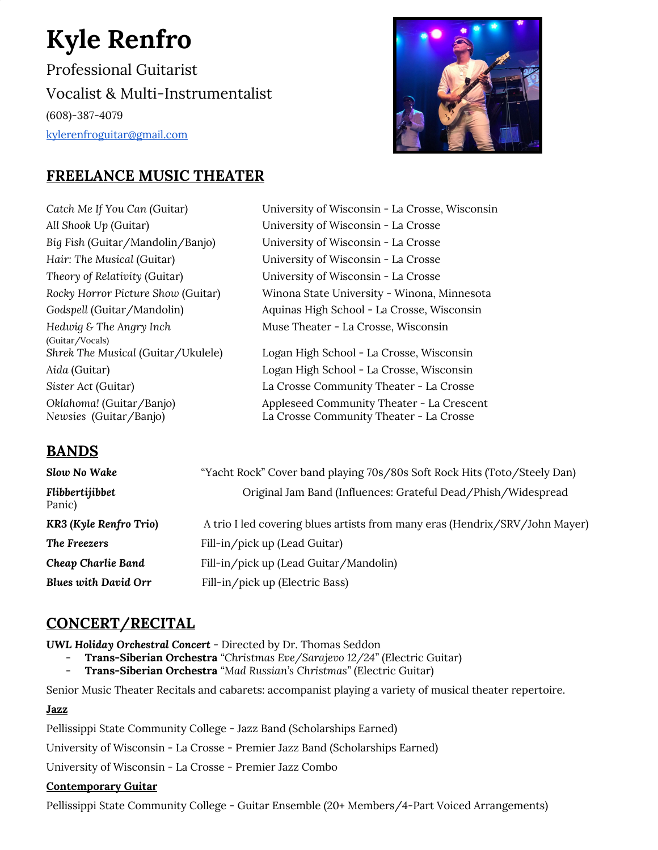# **Kyle Renfro**

Professional Guitarist Vocalist & Multi-Instrumentalist (608)-387-4079 [kylerenfroguitar@gmail.com](mailto:kylerenfroguitar@gmail.com)



# **FREELANCE MUSIC THEATER**

*Catch Me If You Can (*Guitar*)* University of Wisconsin - La Crosse, Wisconsin *All Shook Up* (Guitar) University of Wisconsin - La Crosse *Big Fish* (Guitar/Mandolin/Banjo) University of Wisconsin - La Crosse *Hair: The Musical* (Guitar) University of Wisconsin - La Crosse *Theory of Relativity* (Guitar) University of Wisconsin - La Crosse *Hedwig & The Angry Inch* (Guitar/Vocals) *Oklahoma!* (Guitar/Banjo) *Newsies* (Guitar/Banjo)

*Rocky Horror Picture Show* (Guitar) Winona State University - Winona, Minnesota *Godspell* (Guitar/Mandolin) Aquinas High School - La Crosse, Wisconsin Muse Theater - La Crosse, Wisconsin

*Shrek The Musical* (Guitar/Ukulele) Logan High School - La Crosse, Wisconsin *Aida* (Guitar) Logan High School - La Crosse, Wisconsin *Sister Act* (Guitar) La Crosse Community Theater - La Crosse Appleseed Community Theater - La Crescent La Crosse Community Theater - La Crosse

## **BANDS**

| Slow No Wake                | "Yacht Rock" Cover band playing 70s/80s Soft Rock Hits (Toto/Steely Dan)    |
|-----------------------------|-----------------------------------------------------------------------------|
| Flibbertijibbet<br>Panic)   | Original Jam Band (Influences: Grateful Dead/Phish/Widespread               |
| KR3 (Kyle Renfro Trio)      | A trio I led covering blues artists from many eras (Hendrix/SRV/John Mayer) |
| The Freezers                | Fill-in/pick up (Lead Guitar)                                               |
| Cheap Charlie Band          | Fill-in/pick up (Lead Guitar/Mandolin)                                      |
| <b>Blues with David Orr</b> | Fill-in/pick up (Electric Bass)                                             |

# **CONCERT/RECITAL**

*UWL Holiday Orchestral Concert -* Directed by Dr. Thomas Seddon

- **Trans-Siberian Orchestra** *"Christmas Eve/Sarajevo 12/24"* (Electric Guitar)
- **Trans-Siberian Orchestra** *"Mad Russian's Christmas"* (Electric Guitar)

Senior Music Theater Recitals and cabarets: accompanist playing a variety of musical theater repertoire.

## **Jazz**

Pellissippi State Community College - Jazz Band (Scholarships Earned)

University of Wisconsin - La Crosse - Premier Jazz Band (Scholarships Earned)

University of Wisconsin - La Crosse - Premier Jazz Combo

#### **Contemporary Guitar**

Pellissippi State Community College - Guitar Ensemble (20+ Members/4-Part Voiced Arrangements)